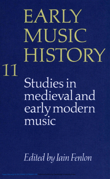# EARLY **MUSIC HISTORY** 11 Studies in medieval and early modern music

*Edited bylainFenlon*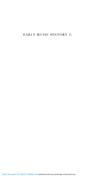## EARLY MUSIC HISTORY II

<https://doi.org/10.1017/S0261127900001169>Published online by Cambridge University Press

 $\mathcal{A}^{\mathcal{A}}$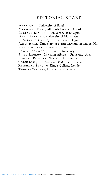## EDITORIAL BOARD

WULF ARLT, University of Basel MARGARET BENT, All Souls College, Oxford LORENZO BIANCONI, University of Bologna DAVID FALLOWS, University of Manchester F. ALBERTO GALLO, University of Bologna JAMES HAAR, University of North Carolina at Chapel Hill KENNETH LEVY, Princeton University LEWIS LOCKWOOD, Harvard University FRITZ RECKOW, Christian Albrecht University, Kiel EDWARD ROESNER, New York University COLIN SLIM, University of California at Irvine REINHARD STROHM, King's College, London THOMAS WALKER, University of Ferrara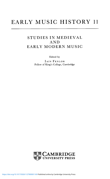## EARLY MUSIC HISTORY 11

## STUDIES IN MEDIEVAL AND EARLY MODERN MUSIC

Edited by

IAIN FENLON Fellow of King's College, Cambridge

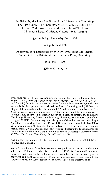Published by the Press Syndicate of the University of Cambridge The Pitt Building, Trumpington Street, Cambridge CB2 1RP 40 West 20th Street, New York, NY 10011-4211, USA<br>10 Stamford Road, Oakleigh, Victoria 3166, Australia 10 Stamford Road, Oakleigh, Victoria 3166, Australia

> C Cambridge University Press 1992 *©* Cambridge University Press 1992

> > First published 1992 First published 1992

Phototypeset in Baskerville by Wyvern Typesetting Ltd, Bristol Printed in Great Britain at the University Press, Cambridge

#### ISSN 0261-1279

ISBN 0 521 41957 3

SUBSCRIPTIONS The subscription price to volume 11, which includes postage, is £42.00 (US \$79.00 in USA and Canada) for institutions, £27.00 (US \$45.00 in USA and Canada) for individuals ordering direct from the Press and certifying that the annual is for their personal use. Airmail (orders to Cambridge only) £8.00 extra. Copies of the annual for subscribers in the USA and Canada are sent by air to New York to arrive with minimum delay. Orders, which must be accompanied by payment, may be sent to a bookseller, subscription agent or direct to the publishers: Cambridge University Press, The Edinburgh Building, Shaftesbury Road, Cambridge CB2 2RU. Payment may be made by any of the following methods: cheque (payable to Cambridge University Press), UK postal order, bank draft, Post Office Giro (account no. 571 6055 GB Bootle - advise CUP of payment), international money order, UNESCO coupons, or any credit card bearing the Interbank symbol. Orders from the USA and Canada should be sent to Cambridge University Press, 40 West 20th Street, New York, NY 10011-4211, USA.

BACK VOLUMES Volumes 1-10 are available from the publisher at £40.00 (\$79.00) in USA and Canada).

NOTE Each volume *of Early Music History* is now published in the year in which it is subscribed. Volume 11 is therefore published in 1992. Readers should be aware, however, that some earlier volumes have been subscribed in the year *after* the copyright and publication date given on this imprints page. Thus volume 8, the volume received by 1989 subscribers, is dated 1988 on the imprints page.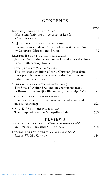## **CONTENTS**

|                                                                                                                                                                                   | page |
|-----------------------------------------------------------------------------------------------------------------------------------------------------------------------------------|------|
| BONNIE J. BLACKBURN (Oxford)<br>Music and festivities at the court of Leo X:<br>a Venetian view                                                                                   | 1    |
| M. JENNIFER BLOXAM (Williams College)<br>'La contenance italienne': the motets on Beata es Maria<br>by Compère, Obrecht and Brumel                                                | 39   |
| JEANICE BROOKS (University of Southampton)<br>Jean de Castro, the Pense partbooks and musical culture<br>in sixteenth-century Lyons                                               | 91   |
| PETER JEFFERY (Princeton University)<br>The lost chant tradition of early Christian Jerusalem:<br>some possible melodic survivals in the Byzantine and<br>Latin chant repertories | 151  |
| ANDREW KIRKMAN (University of Manchester)<br>The Style of Walter Frye and an anonymous mass<br>in Brussels, Koninklijke Bibliotheek, manuscript 5557                              | 191  |
| PAMELA F. STARR (University of Nebraska)<br>Rome as the centre of the universe: papal grace and<br>musical patronage                                                              | 223  |
| MARY E. WOLINSKI (Yale University)<br>The compilation of the Montpelier Codex                                                                                                     | 263  |
| <b>REVIEWS</b>                                                                                                                                                                    |      |
| DONATELLA RESTANI, L'itinerario de Girolamo Mei;<br>Mei, De modis CLAUDE V. PALISCA                                                                                               | 303  |
| THOMAS FOREST KELLY, The Benventan Chant<br>JAMES W. MCKINNON                                                                                                                     | 314  |

 $\bar{\mathbf{v}}$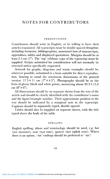## NOTES FOR CONTRIBUTORS

#### PRESENTATION

Contributors should write in English, or be willing to have their articles translated. All typescripts must be double spaced *throughout,* including footnotes, bibliographies, annotated lists of manuscripts, appendixes, tables and displayed quotations. Margins should be at least 2.5 cm (1"). The 'top' (ribbon) copy of the typescript must be supplied. Scripts submitted for consideration will not normally be returned unless specifically requested.

Artwork for graphs, diagrams and music examples should be, wherever possible, submitted in a form suitable for direct reproduction, bearing in mind the maximum dimensions of the printed version:  $17.5 \times 11$  cm  $(7'' \times 4.5'')$ . Photographs should be in the form of glossy black and white prints, measuring about  $20.3 \times 15.2$ cm  $(8" \times 6")$ .

All illustrations should be on separate sheets from the text of the article and should be clearly identified with the contributor's name and the figure/example number. Their approximate position in the text should be indicated by a marginal note in the typescript. Captions should be separately typed, double spaced.

Tables should also be supplied on separate sheets, with the title typed above the body of the table.

#### SPELLING

English spelling, idiom and terminology should be used, e.g. bar (not measure), note (not tone), quaver (not eighth note). Where there is an option, '-ise' endings should be preferred to '-ize'.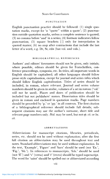#### Notes for Contributors

#### PUNCTUATION

English punctuation practice should be followed: (1) single quotation marks, except for 'a "quote" within a quote';  $(2)$  punctuation outside quotation marks, unless a complete sentence is quoted; (3) no comma before 'and' in a series; (4) footnote indicators follow punctuation; (5) square brackets  $\begin{bmatrix} 1 \\ 0 \end{bmatrix}$  only for interpolation in quoted matter; (6) no stop after contractions that include the last letter of a word, e.g. Dr, St, edn (but vol. and vols.).

#### BIBLIOGRAPHICAL REFERENCES

Authors' and editors' forenames should not be given, only initials; where possible, editors should be given for Festschriften, conference proceedings, symposia, etc. In titles, all important words in English should be capitalised; all other languages should follow prose-style capitalisation, except for journal and series titles which should follow English capitalisation. Titles of series should be included, in roman, where relevant. Journal and series volume numbers should be given in arabic, volumes of a set in roman ('vol.' will not be used). Places and dates of publication should be included but not publishers' names. Dissertation titles should be given in roman and enclosed in quotation marks. Page numbers should be preceded by 'p.' or 'pp.' in all contexts. The first citation of a bibliographical reference should include full details; subsequent citations may use the author's surname, short title and relevant page numbers only. *Ibid,* may be used, but not *op. cit.* or *loc. cit.*

#### ABBREVIATIONS

Abbreviations for manuscript citations, libraries, periodicals, series, etc. should not be used without explanation; after the first full citation an abbreviation may be used throughout text and notes. Standard abbreviations may be used without explanation. In the text, 'Example', 'Figure' and 'bars' should be used (not 'Ex.', 'Fig.', 'bb.'). In references to manuscripts, 'fols.' should be used (not 'ff.') and 'v' (verso) and 'r' (recto) should be typed superscript. The word for 'saint' should be spelled out or abbreviated according

viii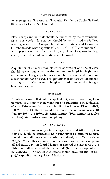#### Notes for Contributors

to language, e.g. San Andrea, S. Maria, SS. Pietro e Paolo, St Paul, St Agnes, St Denis, Ste Clothilde.

#### NOTE NAMES

Flats, sharps and naturals should be indicated by the conventional signs, not words. Note names should be roman and capitalised where general, e.g. C major, but should be italic and follow the Helmholtz code where specific  $(C_i, C, C, c' C'' C'''; c' = middle C)$ . A simpler system may be used in discussions of repertories (e.g. chant) where different conventions are followed.

#### QUOTATIONS

A quotation of no more than 60 words of prose or one line of verse should be continuous within the text and enclosed in single quotation marks. Longer quotations should be displayed and quotation marks should not be used. For quotations from foreign languages, an English translation must be given in addition to the foreignlanguage original.

#### NUMBERS

Numbers below 100 should be spelled out, except page, bar, folio numbers etc., sums of money and specific quantities, e.g. 20 ducats, 45 mm. Pairs of numbers should be elided as follows: 190—1, 198—9, 198-201, 212-13. Dates should be given in the following forms: 10 January 1983, the 1980s, sixteenth century (16th century in tables and lists), sixteenth-century polyphony.

#### CAPITALISATION

Incipits in all language (motets, songs, etc.), and titles except in English, should be capitalised as in running prose; titles in English should have all important words capitalised, e.g. *The Pavin of Delight.* Most offices should have a lower-case initial except in official titles, e.g. 'the Lord Chancellor entered the cathedral', 'the Bishop of Salford entered the cathedral' (but 'the bishop entered the cathedral'). Names of institutions should have full (not prosestyle) capitalisation, e.g. Liceo Musicale.